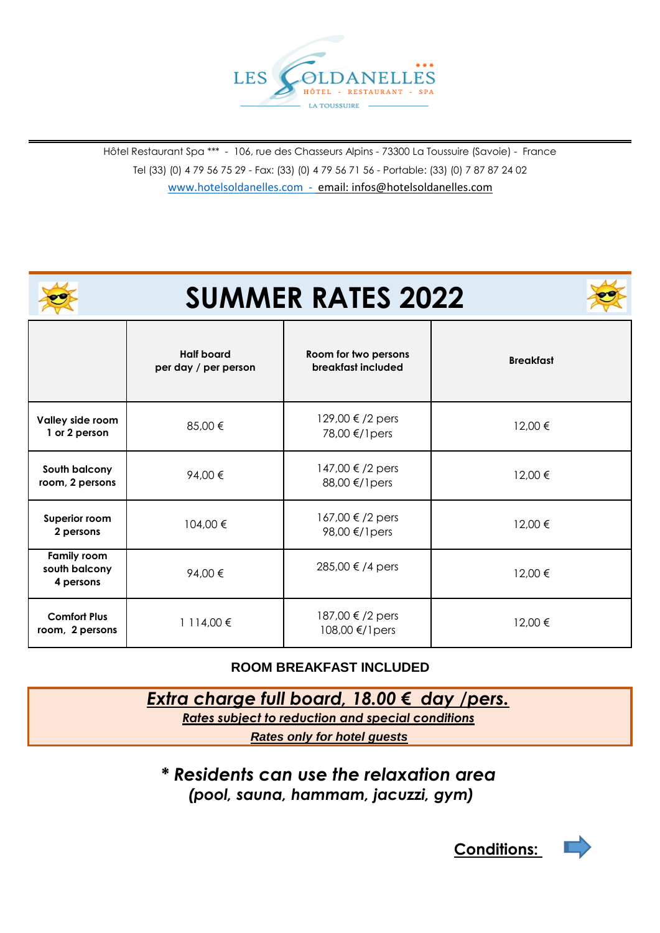

Hôtel Restaurant Spa \*\*\* - 106, rue des Chasseurs Alpins - 73300 La Toussuire (Savoie) - France Tel (33) (0) 4 79 56 75 29 - Fax: (33) (0) 4 79 56 71 56 - Portable: (33) (0) 7 87 87 24 02 [www.hotelsoldanelles.com -](http://www.hotelsoldanelles.com/) email: infos@hotelsoldanelles.com

| <b>SUMMER RATES 2022</b>                         |                                           |                                            |                  |
|--------------------------------------------------|-------------------------------------------|--------------------------------------------|------------------|
|                                                  | <b>Half board</b><br>per day / per person | Room for two persons<br>breakfast included | <b>Breakfast</b> |
| Valley side room<br>1 or 2 person                | 85,00 €                                   | 129,00 €/2 pers<br>78,00 €/1 pers          | 12,00 €          |
| South balcony<br>room, 2 persons                 | 94,00€                                    | 147,00 €/2 pers<br>88,00 €/1 pers          | 12,00 €          |
| Superior room<br>2 persons                       | 104,00 €                                  | 167,00 €/2 pers<br>98,00 €/1 pers          | 12,00 €          |
| <b>Family room</b><br>south balcony<br>4 persons | 94,00€                                    | 285,00 € /4 pers                           | 12,00 €          |
| <b>Comfort Plus</b><br>room, 2 persons           | 1 114,00 €                                | 187,00 € /2 pers<br>108,00 €/1pers         | 12,00 €          |

## **ROOM BREAKFAST INCLUDED**

## *Extra charge full board, 18.00 € day /pers.*

*Rates subject to reduction and special conditions*

*Rates only for hotel guests*

*\* Residents can use the relaxation area (pool, sauna, hammam, jacuzzi, gym)*